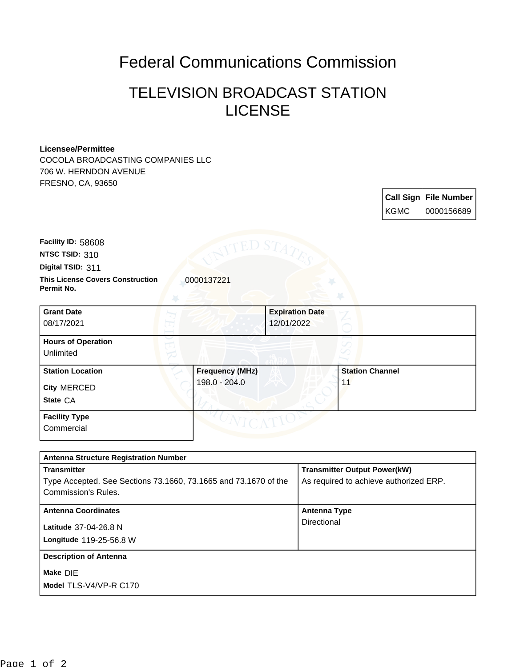## Federal Communications Commission

## TELEVISION BROADCAST STATION LICENSE

## **Licensee/Permittee**

COCOLA BROADCASTING COMPANIES LLC 706 W. HERNDON AVENUE FRESNO, CA, 93650

|             | <b>Call Sign File Number</b> |
|-------------|------------------------------|
| <b>KGMC</b> | 0000156689                   |

**Facility ID:** 58608

**NTSC TSID:** 310

**Digital TSID:** 311

**This License Covers Construction**  0000137221 **Permit No.**

| <b>Grant Date</b><br>08/17/2021                           |                                         | <b>Expiration Date</b><br>12/01/2022 |                              |  |
|-----------------------------------------------------------|-----------------------------------------|--------------------------------------|------------------------------|--|
| <b>Hours of Operation</b><br>Unlimited                    |                                         |                                      |                              |  |
| <b>Station Location</b><br><b>City MERCED</b><br>State CA | <b>Frequency (MHz)</b><br>198.0 - 204.0 |                                      | <b>Station Channel</b><br>11 |  |
| <b>Facility Type</b><br>Commercial                        |                                         |                                      |                              |  |

| <b>Antenna Structure Registration Number</b>                    |                                        |  |  |  |
|-----------------------------------------------------------------|----------------------------------------|--|--|--|
| <b>Transmitter</b>                                              | <b>Transmitter Output Power(kW)</b>    |  |  |  |
| Type Accepted. See Sections 73.1660, 73.1665 and 73.1670 of the | As required to achieve authorized ERP. |  |  |  |
| Commission's Rules.                                             |                                        |  |  |  |
| <b>Antenna Coordinates</b>                                      | Antenna Type                           |  |  |  |
| Latitude 37-04-26.8 N                                           | Directional                            |  |  |  |
| Longitude 119-25-56.8 W                                         |                                        |  |  |  |
| <b>Description of Antenna</b>                                   |                                        |  |  |  |
| Make DIE                                                        |                                        |  |  |  |
| Model TLS-V4/VP-R C170                                          |                                        |  |  |  |